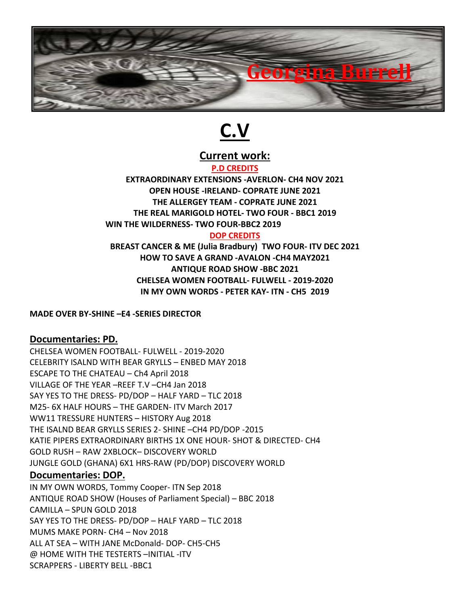

# **C.V**

**Current work:**

#### **P.D CREDITS**

**EXTRAORDINARY EXTENSIONS -AVERLON- CH4 NOV 2021 OPEN HOUSE -IRELAND- COPRATE JUNE 2021 THE ALLERGEY TEAM - COPRATE JUNE 2021 THE REAL MARIGOLD HOTEL- TWO FOUR - BBC1 2019 WIN THE WILDERNESS- TWO FOUR-BBC2 2019 DOP CREDITS**

## **BREAST CANCER & ME (JuliaBradbury) TWO FOUR- ITV DEC 2021 HOW TO SAVE A GRAND -AVALON -CH4 MAY2021 ANTIQUE ROAD SHOW -BBC 2021 CHELSEA WOMEN FOOTBALL- FULWELL - 2019-2020 IN MY OWN WORDS - PETER KAY- ITN - CH5 2019**

#### **MADE OVER BY-SHINE –E4 -SERIES DIRECTOR**

## **Documentaries: PD.**

CHELSEA WOMEN FOOTBALL- FULWELL - 2019-2020 CELEBRITY ISALND WITH BEAR GRYLLS – ENBED MAY 2018 ESCAPE TO THE CHATEAU – Ch4 April 2018 VILLAGE OF THE YEAR –REEF T.V –CH4 Jan 2018 SAY YES TO THE DRESS- PD/DOP – HALF YARD – TLC 2018 M25- 6X HALF HOURS – THE GARDEN- ITV March 2017 WW11 TRESSURE HUNTERS – HISTORY Aug 2018 THE ISALND BEAR GRYLLS SERIES 2- SHINE –CH4 PD/DOP -2015 KATIE PIPERS EXTRAORDINARY BIRTHS 1X ONE HOUR- SHOT & DIRECTED- CH4 GOLD RUSH – RAW 2XBLOCK– DISCOVERY WORLD JUNGLE GOLD (GHANA) 6X1 HRS-RAW (PD/DOP) DISCOVERY WORLD

#### **Documentaries: DOP.**

IN MY OWN WORDS, Tommy Cooper- ITN Sep 2018 ANTIQUE ROAD SHOW (Houses of Parliament Special) – BBC 2018 CAMILLA – SPUN GOLD 2018 SAY YES TO THE DRESS- PD/DOP – HALF YARD – TLC 2018 MUMS MAKE PORN- CH4 – Nov 2018 ALL AT SEA – WITH JANE McDonald- DOP- CH5-CH5 @ HOME WITH THE TESTERTS –INITIAL -ITV SCRAPPERS - LIBERTY BELL -BBC1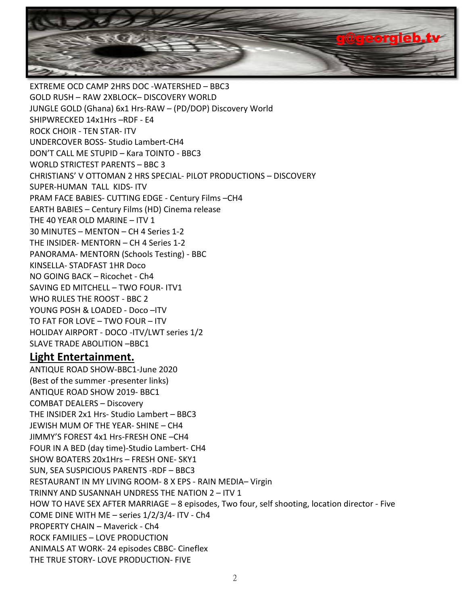

EXTREME OCD CAMP 2HRS DOC -WATERSHED – BBC3 GOLD RUSH – RAW 2XBLOCK– DISCOVERY WORLD JUNGLE GOLD (Ghana) 6x1 Hrs-RAW – (PD/DOP) Discovery World SHIPWRECKED 14x1Hrs –RDF - E4 ROCK CHOIR - TEN STAR- ITV UNDERCOVER BOSS- Studio Lambert-CH4 DON'T CALL ME STUPID – Kara TOINTO - BBC3 WORLD STRICTEST PARENTS – BBC 3 CHRISTIANS' V OTTOMAN 2 HRS SPECIAL- PILOT PRODUCTIONS – DISCOVERY SUPER-HUMAN TALL KIDS- ITV PRAM FACE BABIES-CUTTING EDGE - Century Films –CH4 EARTH BABIES– Century Films (HD) Cinema release THE 40 YEAR OLD MARINE – ITV 1 30 MINUTES – MENTON – CH 4 Series 1-2 THE INSIDER- MENTORN – CH 4 Series 1-2 PANORAMA- MENTORN (Schools Testing) - BBC KINSELLA- STADFAST 1HR Doco NO GOING BACK – Ricochet -Ch4 SAVING ED MITCHELL – TWO FOUR- ITV1 WHO RULES THE ROOST - BBC 2 YOUNG POSH & LOADED - Doco –ITV TO FAT FOR LOVE – TWO FOUR – ITV HOLIDAY AIRPORT - DOCO -ITV/LWT series 1/2 SLAVE TRADE ABOLITION –BBC1 **Light Entertainment.**

ANTIQUE ROAD SHOW-BBC1-June 2020 (Best of the summer -presenter links) ANTIQUE ROAD SHOW 2019- BBC1 COMBAT DEALERS – Discovery THE INSIDER 2x1 Hrs- Studio Lambert – BBC3 JEWISH MUM OF THE YEAR- SHINE – CH4 JIMMY'S FOREST 4x1 Hrs-FRESH ONE –CH4 FOUR IN A BED (day time)-Studio Lambert- CH4 SHOW BOATERS 20x1Hrs – FRESH ONE- SKY1 SUN, SEA SUSPICIOUS PARENTS -RDF – BBC3 RESTAURANT IN MY LIVING ROOM- 8 X EPS - RAIN MEDIA– Virgin TRINNY AND SUSANNAH UNDRESS THE NATION 2 – ITV 1 HOW TO HAVE SEX AFTER MARRIAGE - 8 episodes, Two four, self shooting, location director - Five COME DINE WITH ME – series 1/2/3/4- ITV - Ch4 PROPERTY CHAIN – Maverick - Ch4 ROCK FAMILIES – LOVE PRODUCTION ANIMALS AT WORK- 24 episodes CBBC- Cineflex THE TRUE STORY- LOVE PRODUCTION- FIVE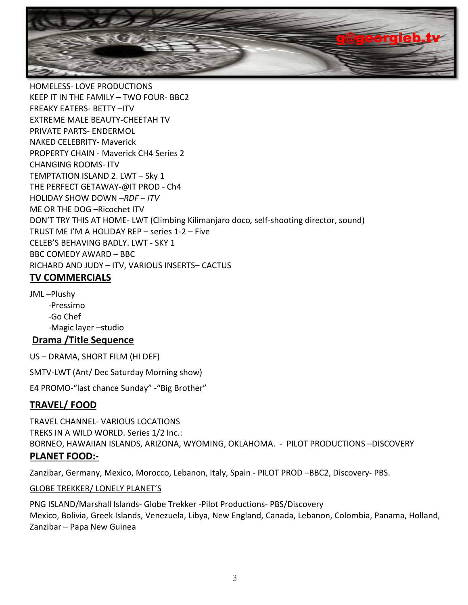

HOMELESS- LOVE PRODUCTIONS KEEP IT IN THE FAMILY – TWO FOUR- BBC2 FREAKY EATERS- BETTY –ITV EXTREME MALE BEAUTY-CHEETAH TV PRIVATE PARTS- ENDERMOL NAKED CELEBRITY- Maverick PROPERTY CHAIN - Maverick CH4 Series 2 CHANGING ROOMS- ITV TEMPTATION ISLAND 2. LWT – Sky 1 THE PERFECT GETAWAY-@IT PROD - Ch4 HOLIDAY SHOW DOWN *–RDF – ITV* ME OR THE DOG –Ricochet ITV DON'T TRY THIS AT HOME- LWT (Climbing Kilimanjaro doco*,* self-shooting director, sound) TRUST ME I'M A HOLIDAY REP– series 1-2 – Five CELEB'S BEHAVING BADLY. LWT - SKY 1 BBC COMEDY AWARD – BBC RICHARD AND JUDY – ITV, VARIOUS INSERTS– CACTUS **TV COMMERCIALS**

JML –Plushy -Pressimo -Go Chef -Magic layer –studio

## **Drama /Title Sequence**

US – DRAMA, SHORT FILM (HI DEF)

SMTV-LWT (Ant/ Dec Saturday Morning show)

E4 PROMO-"last chance Sunday" -"Big Brother"

## **TRAVEL/ FOOD**

TRAVEL CHANNEL- VARIOUS LOCATIONS TREKS IN A WILD WORLD. Series 1/2 Inc.: BORNEO, HAWAIIAN ISLANDS, ARIZONA, WYOMING, OKLAHOMA. - PILOT PRODUCTIONS –DISCOVERY **PLANET FOOD:-**

Zanzibar, Germany, Mexico, Morocco, Lebanon, Italy, Spain - PILOT PROD –BBC2, Discovery- PBS.

GLOBE TREKKER/ LONELY PLANET'S

PNG ISLAND/Marshall Islands- Globe Trekker -Pilot Productions- PBS/Discovery Mexico, Bolivia, Greek Islands, Venezuela, Libya, New England, Canada, Lebanon, Colombia, Panama, Holland, Zanzibar – Papa New Guinea